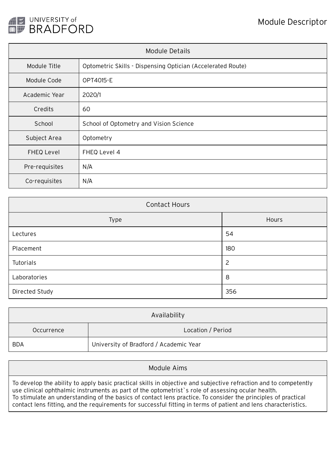

| Module Details    |                                                             |  |  |  |
|-------------------|-------------------------------------------------------------|--|--|--|
| Module Title      | Optometric Skills - Dispensing Optician (Accelerated Route) |  |  |  |
| Module Code       | OPT4015-E                                                   |  |  |  |
| Academic Year     | 2020/1                                                      |  |  |  |
| Credits           | 60                                                          |  |  |  |
| School            | School of Optometry and Vision Science                      |  |  |  |
| Subject Area      | Optometry                                                   |  |  |  |
| <b>FHEQ Level</b> | FHEQ Level 4                                                |  |  |  |
| Pre-requisites    | N/A                                                         |  |  |  |
| Co-requisites     | N/A                                                         |  |  |  |

| <b>Contact Hours</b> |                |  |  |  |  |
|----------------------|----------------|--|--|--|--|
| Type                 | Hours          |  |  |  |  |
| Lectures             | 54             |  |  |  |  |
| Placement            | 180            |  |  |  |  |
| Tutorials            | $\overline{c}$ |  |  |  |  |
| Laboratories         | 8              |  |  |  |  |
| Directed Study       | 356            |  |  |  |  |

| Availability |                                        |  |  |  |
|--------------|----------------------------------------|--|--|--|
| Occurrence   | Location / Period                      |  |  |  |
| <b>BDA</b>   | University of Bradford / Academic Year |  |  |  |

Module Aims

To develop the ability to apply basic practical skills in objective and subjective refraction and to competently use clinical ophthalmic instruments as part of the optometrist`s role of assessing ocular health. To stimulate an understanding of the basics of contact lens practice. To consider the principles of practical contact lens fitting, and the requirements for successful fitting in terms of patient and lens characteristics.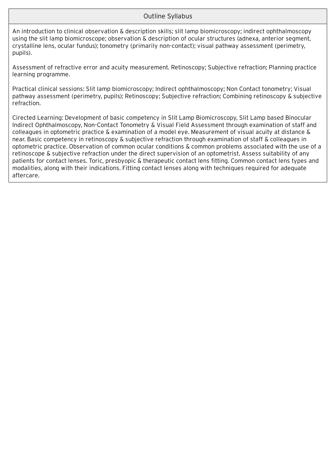## Outline Syllabus

An introduction to clinical observation & description skills; slit lamp biomicroscopy; indirect ophthalmoscopy using the slit lamp biomicroscope; observation & description of ocular structures (adnexa, anterior segment, crystalline lens, ocular fundus); tonometry (primarily non-contact); visual pathway assessment (perimetry, pupils).

Assessment of refractive error and acuity measurement. Retinoscopy; Subjective refraction; Planning practice learning programme.

Practical clinical sessions: Slit lamp biomicroscopy; Indirect ophthalmoscopy; Non Contact tonometry; Visual pathway assessment (perimetry, pupils); Retinoscopy; Subjective refraction; Combining retinoscopy & subjective refraction.

Cirected Learning: Development of basic competency in Slit Lamp Biomicroscopy, Slit Lamp based Binocular Indirect Ophthalmoscopy, Non-Contact Tonometry & Visual Field Assessment through examination of staff and colleagues in optometric practice & examination of a model eye. Measurement of visual acuity at distance & near. Basic competency in retinoscopy & subjective refraction through examination of staff & colleagues in optometric practice. Observation of common ocular conditions & common problems associated with the use of a retinoscope & subjective refraction under the direct supervision of an optometrist. Assess suitability of any patients for contact lenses. Toric, presbyopic & therapeutic contact lens fitting. Common contact lens types and modalities, along with their indications. Fitting contact lenses along with techniques required for adequate aftercare.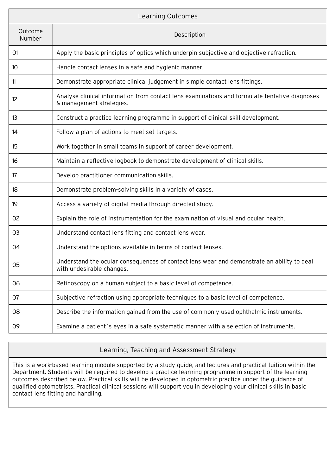| Learning Outcomes |                                                                                                                           |  |  |  |
|-------------------|---------------------------------------------------------------------------------------------------------------------------|--|--|--|
| Outcome<br>Number | Description                                                                                                               |  |  |  |
| 01                | Apply the basic principles of optics which underpin subjective and objective refraction.                                  |  |  |  |
| 10                | Handle contact lenses in a safe and hygienic manner.                                                                      |  |  |  |
| 11                | Demonstrate appropriate clinical judgement in simple contact lens fittings.                                               |  |  |  |
| 12                | Analyse clinical information from contact lens examinations and formulate tentative diagnoses<br>& management strategies. |  |  |  |
| 13                | Construct a practice learning programme in support of clinical skill development.                                         |  |  |  |
| 14                | Follow a plan of actions to meet set targets.                                                                             |  |  |  |
| 15                | Work together in small teams in support of career development.                                                            |  |  |  |
| 16                | Maintain a reflective logbook to demonstrate development of clinical skills.                                              |  |  |  |
| 17                | Develop practitioner communication skills.                                                                                |  |  |  |
| 18                | Demonstrate problem-solving skills in a variety of cases.                                                                 |  |  |  |
| 19                | Access a variety of digital media through directed study.                                                                 |  |  |  |
| 02                | Explain the role of instrumentation for the examination of visual and ocular health.                                      |  |  |  |
| 03                | Understand contact lens fitting and contact lens wear.                                                                    |  |  |  |
| 04                | Understand the options available in terms of contact lenses.                                                              |  |  |  |
| 05                | Understand the ocular consequences of contact lens wear and demonstrate an ability to deal<br>with undesirable changes.   |  |  |  |
| 06                | Retinoscopy on a human subject to a basic level of competence.                                                            |  |  |  |
| 07                | Subjective refraction using appropriate techniques to a basic level of competence.                                        |  |  |  |
| 08                | Describe the information gained from the use of commonly used ophthalmic instruments.                                     |  |  |  |
| 09                | Examine a patient's eyes in a safe systematic manner with a selection of instruments.                                     |  |  |  |

## Learning, Teaching and Assessment Strategy

This is a work-based learning module supported by a study guide, and lectures and practical tuition within the Department. Students will be required to develop a practice learning programme in support of the learning outcomes described below. Practical skills will be developed in optometric practice under the guidance of qualified optometrists. Practical clinical sessions will support you in developing your clinical skills in basic contact lens fitting and handling.